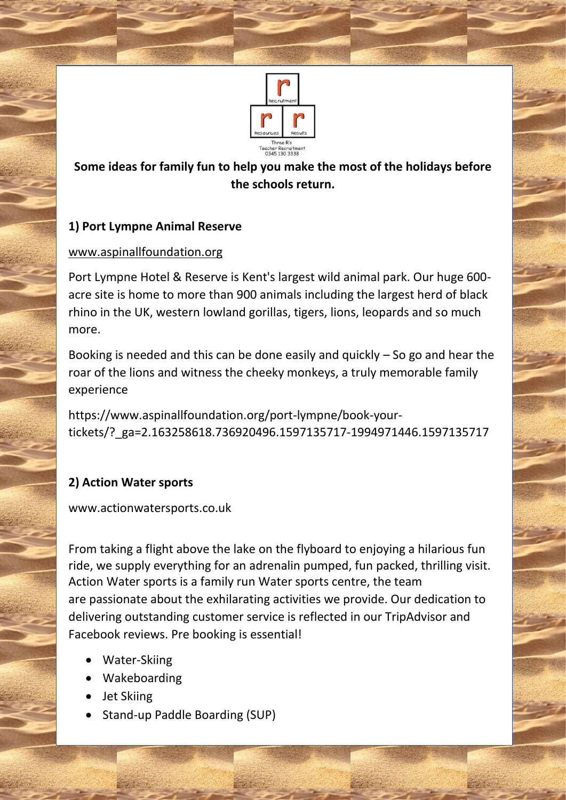

**Some ideas for family fun to help you make the most of the holidays before the schools return.**

# **1) Port Lympne Animal Reserve**

### [www.aspinallfoundation.org](http://www.aspinallfoundation.org/)

Port Lympne Hotel & Reserve is Kent's largest wild animal park. Our huge 600 acre site is home to more than 900 animals including the largest herd of black rhino in the UK, western lowland gorillas, tigers, lions, leopards and so much more.

Booking is needed and this can be done easily and quickly  $-$  So go and hear the roar of the lions and witness the cheeky monkeys, a truly memorable family experience

https://www.aspinallfoundation.org/port-lympne/book-yourtickets/?\_ga=2.163258618.736920496.1597135717-1994971446.1597135717

# **2) Action Water sports**

www.actionwatersports.co.uk

From taking a flight above the lake on the flyboard to enjoying a hilarious fun ride, we supply everything for an adrenalin pumped, fun packed, thrilling visit. Action Water sports is a family run Water sports centre, the team are passionate about the exhilarating activities we provide. Our dedication to delivering outstanding customer service is reflected in our TripAdvisor and Facebook reviews. Pre booking is essential!

- Water-Skiing
- Wakeboarding
- Jet Skiing
- Stand-up Paddle Boarding (SUP)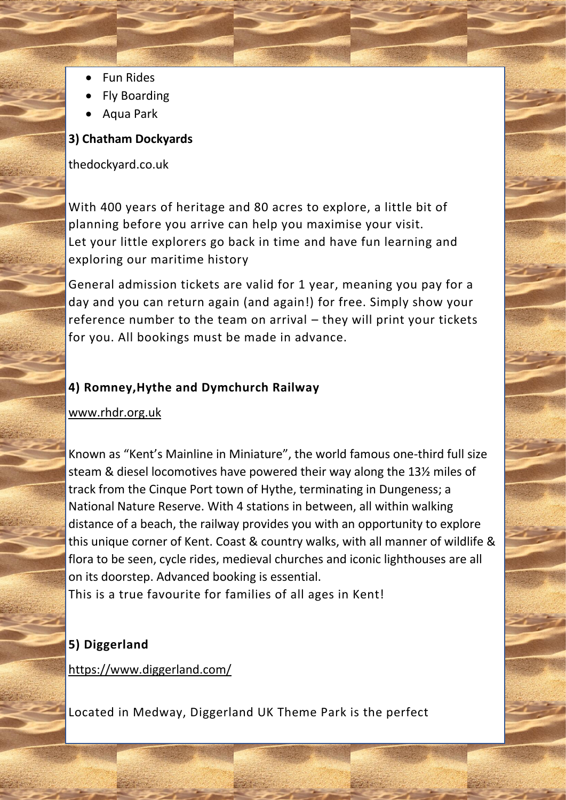- Fun Rides
- Fly Boarding
- Aqua Park

#### **3) Chatham Dockyards**

thedockyard.co.uk

With 400 years of heritage and 80 acres to explore, a little bit of planning before you arrive can help you maximise your visit. Let your little explorers go back in time and have fun learning and exploring our maritime history

General admission tickets are valid for 1 year, meaning you pay for a day and you can return again (and again!) for free. Simply show your reference number to the team on arrival – they will print your tickets for you. All bookings must be made in advance.

## **4) Romney,Hythe and Dymchurch Railway**

[www.rhdr.org.uk](http://www.rhdr.org.uk/)

Known as "Kent's Mainline in Miniature", the world famous one-third full size steam & diesel locomotives have powered their way along the 13½ miles of track from the Cinque Port town of Hythe, terminating in Dungeness; a National Nature Reserve. With 4 stations in between, all within walking distance of a beach, the railway provides you with an opportunity to explore this unique corner of Kent. Coast & country walks, with all manner of wildlife & flora to be seen, cycle [rides,](https://www.click2cycle.com/pages/popular-routes) [medieval](https://romneymarshchurches.org.uk/) churches and iconic [lighthouses](https://dungenesslighthouse.com/) are all on its doorstep. Advanced booking is essential.

This is a true favourite for families of all ages in Kent!

#### **5) Diggerland**

<https://www.diggerland.com/>

Located in Medway, Diggerland UK Theme Park is the perfect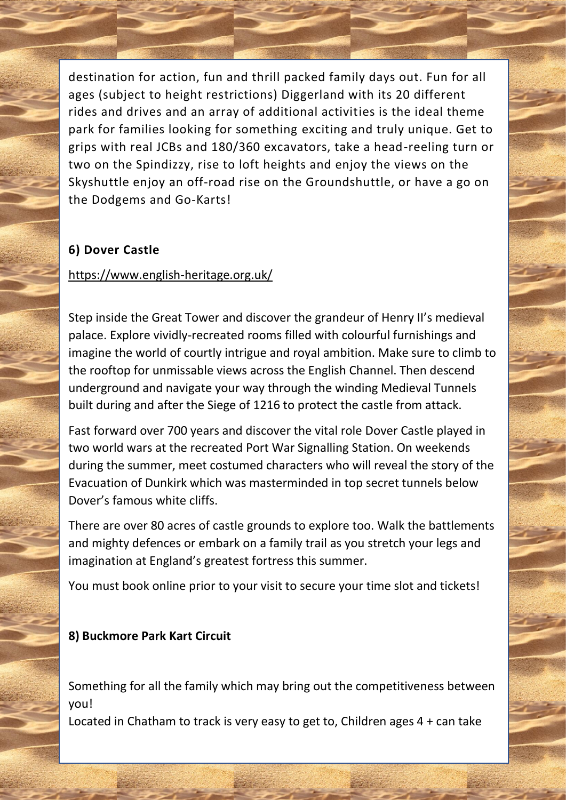destination for action, fun and thrill packed family days out. Fun for all ages (subject to height restrictions) Diggerland with its 20 different rides and drives and an array of additional activities is the ideal theme park for families looking for something exciting and truly unique. Get to grips with real JCBs and 180/360 excavators, take a head-reeling turn or two on the Spindizzy, rise to loft heights and enjoy the views on the Skyshuttle enjoy an off-road rise on the Groundshuttle, or have a go on the Dodgems and Go-Karts!

# **6) Dover Castle**

## <https://www.english-heritage.org.uk/>

Step inside the Great Tower and discover the grandeur of Henry II's medieval palace. Explore vividly-recreated rooms filled with colourful furnishings and imagine the world of courtly intrigue and royal ambition. Make sure to climb to the rooftop for unmissable views across the English Channel. Then descend underground and navigate your way through the winding Medieval Tunnels built during and after the Siege of 1216 to protect the castle from attack.

Fast forward over 700 years and discover the vital role Dover Castle played in two world wars at the recreated Port War Signalling Station. On weekends during the summer, meet costumed characters who will reveal the story of the Evacuation of Dunkirk which was masterminded in top secret tunnels below Dover's famous white cliffs.

There are over 80 acres of castle grounds to explore too. Walk the battlements and mighty defences or embark on a family trail as you stretch your legs and imagination at England's greatest fortress this summer.

You must book online prior to your visit to secure your time slot and tickets!

## **8) Buckmore Park Kart Circuit**

Something for all the family which may bring out the competitiveness between you!

Located in Chatham to track is very easy to get to, Children ages 4 + can take